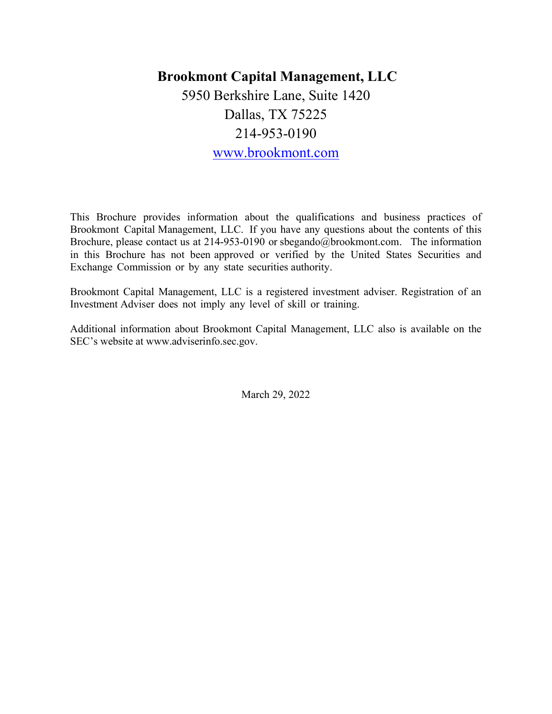# Brookmont Capital Management, LLC 5950 Berkshire Lane, Suite 1420 Dallas, TX 75225 214-953-0190 www.brookmont.com

This Brochure provides information about the qualifications and business practices of Brookmont Capital Management, LLC. If you have any questions about the contents of this Brochure, please contact us at 214-953-0190 or sbegando@brookmont.com. The information in this Brochure has not been approved or verified by the United States Securities and Exchange Commission or by any state securities authority.

Brookmont Capital Management, LLC is a registered investment adviser. Registration of an Investment Adviser does not imply any level of skill or training.

Additional information about Brookmont Capital Management, LLC also is available on the SEC's website at www.adviserinfo.sec.gov.

March 29, 2022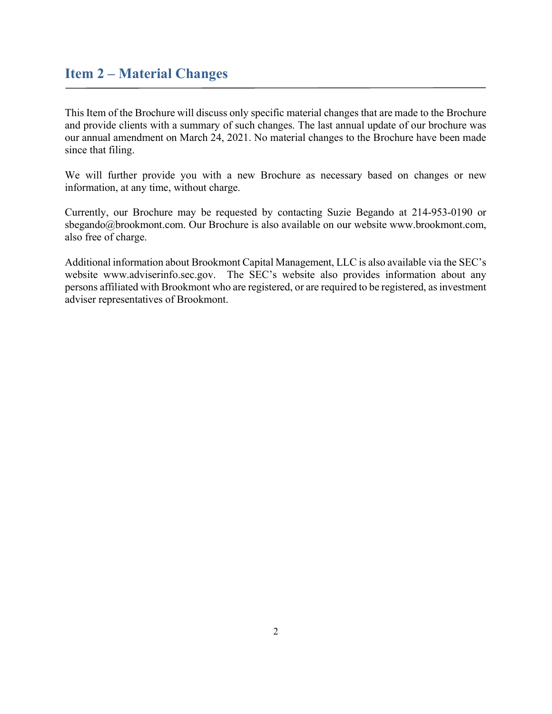# Item 2 – Material Changes

This Item of the Brochure will discuss only specific material changes that are made to the Brochure and provide clients with a summary of such changes. The last annual update of our brochure was our annual amendment on March 24, 2021. No material changes to the Brochure have been made since that filing.

We will further provide you with a new Brochure as necessary based on changes or new information, at any time, without charge.

Currently, our Brochure may be requested by contacting Suzie Begando at 214-953-0190 or sbegando@brookmont.com. Our Brochure is also available on our website www.brookmont.com, also free of charge.

Additional information about Brookmont Capital Management, LLC is also available via the SEC's website www.adviserinfo.sec.gov. The SEC's website also provides information about any persons affiliated with Brookmont who are registered, or are required to be registered, as investment adviser representatives of Brookmont.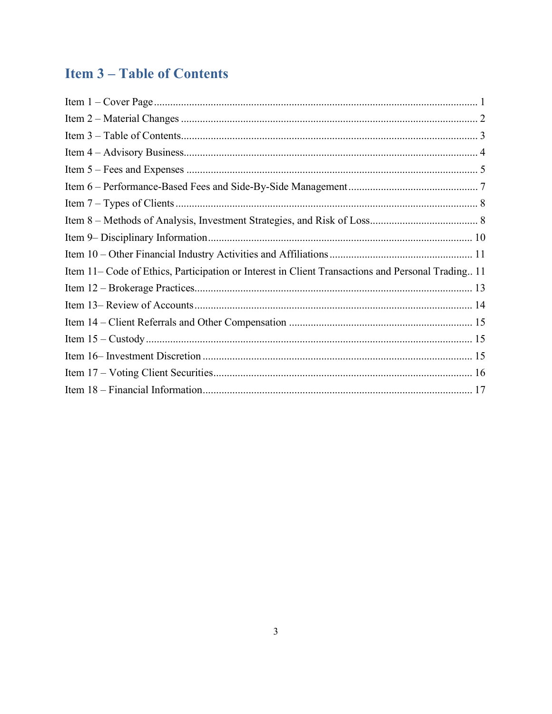# **Item 3-Table of Contents**

| Item 11– Code of Ethics, Participation or Interest in Client Transactions and Personal Trading 11 |
|---------------------------------------------------------------------------------------------------|
|                                                                                                   |
|                                                                                                   |
|                                                                                                   |
|                                                                                                   |
|                                                                                                   |
|                                                                                                   |
|                                                                                                   |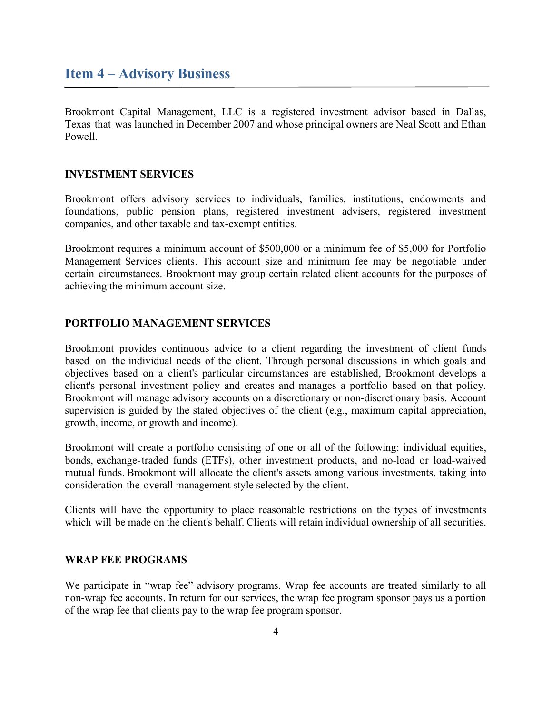# Item 4 – Advisory Business

Brookmont Capital Management, LLC is a registered investment advisor based in Dallas, Texas that was launched in December 2007 and whose principal owners are Neal Scott and Ethan Powell.

#### INVESTMENT SERVICES

Brookmont offers advisory services to individuals, families, institutions, endowments and foundations, public pension plans, registered investment advisers, registered investment companies, and other taxable and tax-exempt entities.

Brookmont requires a minimum account of \$500,000 or a minimum fee of \$5,000 for Portfolio Management Services clients. This account size and minimum fee may be negotiable under certain circumstances. Brookmont may group certain related client accounts for the purposes of achieving the minimum account size.

#### PORTFOLIO MANAGEMENT SERVICES

Brookmont provides continuous advice to a client regarding the investment of client funds based on the individual needs of the client. Through personal discussions in which goals and objectives based on a client's particular circumstances are established, Brookmont develops a client's personal investment policy and creates and manages a portfolio based on that policy. Brookmont will manage advisory accounts on a discretionary or non-discretionary basis. Account supervision is guided by the stated objectives of the client (e.g., maximum capital appreciation, growth, income, or growth and income).

Brookmont will create a portfolio consisting of one or all of the following: individual equities, bonds, exchange-traded funds (ETFs), other investment products, and no-load or load-waived mutual funds. Brookmont will allocate the client's assets among various investments, taking into consideration the overall management style selected by the client.

Clients will have the opportunity to place reasonable restrictions on the types of investments which will be made on the client's behalf. Clients will retain individual ownership of all securities.

#### WRAP FEE PROGRAMS

We participate in "wrap fee" advisory programs. Wrap fee accounts are treated similarly to all non-wrap fee accounts. In return for our services, the wrap fee program sponsor pays us a portion of the wrap fee that clients pay to the wrap fee program sponsor.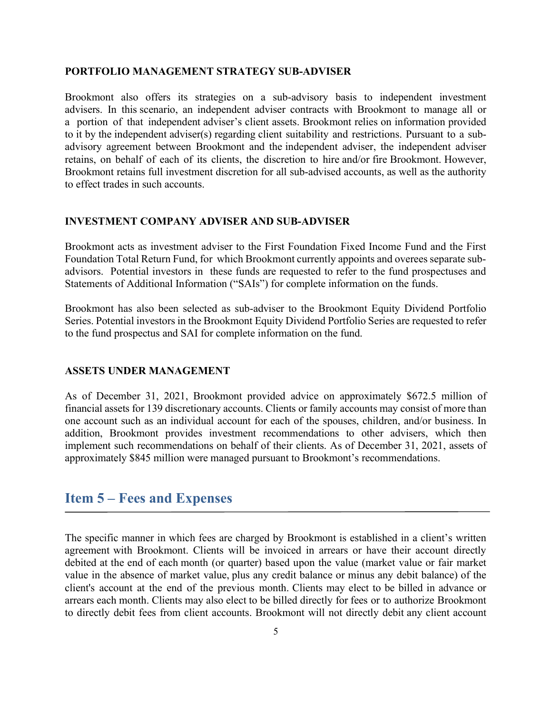#### PORTFOLIO MANAGEMENT STRATEGY SUB-ADVISER

Brookmont also offers its strategies on a sub-advisory basis to independent investment advisers. In this scenario, an independent adviser contracts with Brookmont to manage all or a portion of that independent adviser's client assets. Brookmont relies on information provided to it by the independent adviser(s) regarding client suitability and restrictions. Pursuant to a subadvisory agreement between Brookmont and the independent adviser, the independent adviser retains, on behalf of each of its clients, the discretion to hire and/or fire Brookmont. However, Brookmont retains full investment discretion for all sub-advised accounts, as well as the authority to effect trades in such accounts.

#### INVESTMENT COMPANY ADVISER AND SUB-ADVISER

Brookmont acts as investment adviser to the First Foundation Fixed Income Fund and the First Foundation Total Return Fund, for which Brookmont currently appoints and overees separate subadvisors. Potential investors in these funds are requested to refer to the fund prospectuses and Statements of Additional Information ("SAIs") for complete information on the funds.

Brookmont has also been selected as sub-adviser to the Brookmont Equity Dividend Portfolio Series. Potential investors in the Brookmont Equity Dividend Portfolio Series are requested to refer to the fund prospectus and SAI for complete information on the fund.

#### ASSETS UNDER MANAGEMENT

As of December 31, 2021, Brookmont provided advice on approximately \$672.5 million of financial assets for 139 discretionary accounts. Clients or family accounts may consist of more than one account such as an individual account for each of the spouses, children, and/or business. In addition, Brookmont provides investment recommendations to other advisers, which then implement such recommendations on behalf of their clients. As of December 31, 2021, assets of approximately \$845 million were managed pursuant to Brookmont's recommendations.

## Item 5 – Fees and Expenses

The specific manner in which fees are charged by Brookmont is established in a client's written agreement with Brookmont. Clients will be invoiced in arrears or have their account directly debited at the end of each month (or quarter) based upon the value (market value or fair market value in the absence of market value, plus any credit balance or minus any debit balance) of the client's account at the end of the previous month. Clients may elect to be billed in advance or arrears each month. Clients may also elect to be billed directly for fees or to authorize Brookmont to directly debit fees from client accounts. Brookmont will not directly debit any client account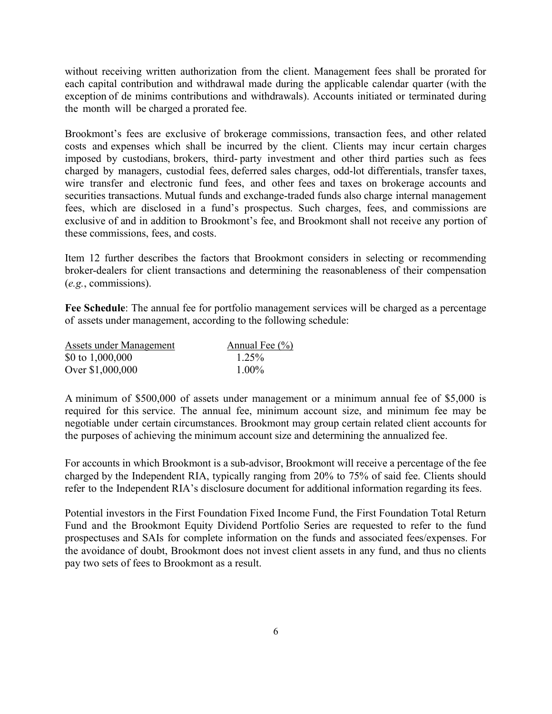without receiving written authorization from the client. Management fees shall be prorated for each capital contribution and withdrawal made during the applicable calendar quarter (with the exception of de minims contributions and withdrawals). Accounts initiated or terminated during the month will be charged a prorated fee.

Brookmont's fees are exclusive of brokerage commissions, transaction fees, and other related costs and expenses which shall be incurred by the client. Clients may incur certain charges imposed by custodians, brokers, third- party investment and other third parties such as fees charged by managers, custodial fees, deferred sales charges, odd-lot differentials, transfer taxes, wire transfer and electronic fund fees, and other fees and taxes on brokerage accounts and securities transactions. Mutual funds and exchange-traded funds also charge internal management fees, which are disclosed in a fund's prospectus. Such charges, fees, and commissions are exclusive of and in addition to Brookmont's fee, and Brookmont shall not receive any portion of these commissions, fees, and costs.

Item 12 further describes the factors that Brookmont considers in selecting or recommending broker-dealers for client transactions and determining the reasonableness of their compensation (e.g., commissions).

Fee Schedule: The annual fee for portfolio management services will be charged as a percentage of assets under management, according to the following schedule:

| Assets under Management | Annual Fee $(\% )$ |
|-------------------------|--------------------|
| \$0 to $1,000,000$      | 1.25%              |
| Over \$1,000,000        | $1.00\%$           |

A minimum of \$500,000 of assets under management or a minimum annual fee of \$5,000 is required for this service. The annual fee, minimum account size, and minimum fee may be negotiable under certain circumstances. Brookmont may group certain related client accounts for the purposes of achieving the minimum account size and determining the annualized fee.

For accounts in which Brookmont is a sub-advisor, Brookmont will receive a percentage of the fee charged by the Independent RIA, typically ranging from 20% to 75% of said fee. Clients should refer to the Independent RIA's disclosure document for additional information regarding its fees.

Potential investors in the First Foundation Fixed Income Fund, the First Foundation Total Return Fund and the Brookmont Equity Dividend Portfolio Series are requested to refer to the fund prospectuses and SAIs for complete information on the funds and associated fees/expenses. For the avoidance of doubt, Brookmont does not invest client assets in any fund, and thus no clients pay two sets of fees to Brookmont as a result.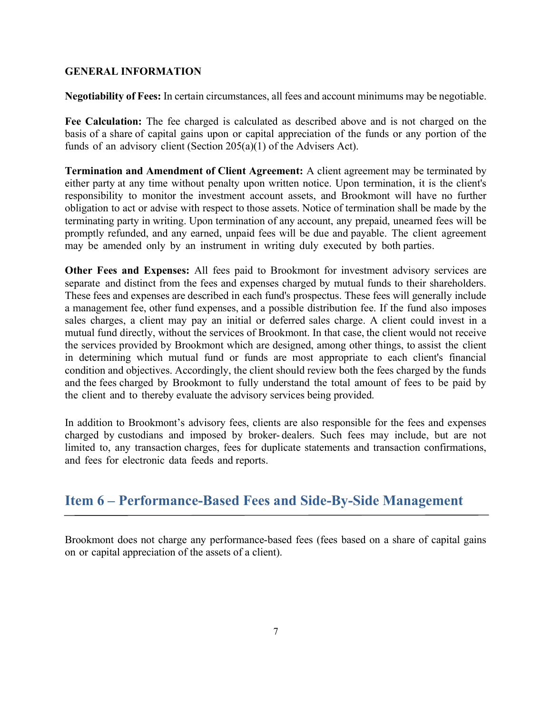#### GENERAL INFORMATION

Negotiability of Fees: In certain circumstances, all fees and account minimums may be negotiable.

Fee Calculation: The fee charged is calculated as described above and is not charged on the basis of a share of capital gains upon or capital appreciation of the funds or any portion of the funds of an advisory client (Section 205(a)(1) of the Advisers Act).

Termination and Amendment of Client Agreement: A client agreement may be terminated by either party at any time without penalty upon written notice. Upon termination, it is the client's responsibility to monitor the investment account assets, and Brookmont will have no further obligation to act or advise with respect to those assets. Notice of termination shall be made by the terminating party in writing. Upon termination of any account, any prepaid, unearned fees will be promptly refunded, and any earned, unpaid fees will be due and payable. The client agreement may be amended only by an instrument in writing duly executed by both parties.

Other Fees and Expenses: All fees paid to Brookmont for investment advisory services are separate and distinct from the fees and expenses charged by mutual funds to their shareholders. These fees and expenses are described in each fund's prospectus. These fees will generally include a management fee, other fund expenses, and a possible distribution fee. If the fund also imposes sales charges, a client may pay an initial or deferred sales charge. A client could invest in a mutual fund directly, without the services of Brookmont. In that case, the client would not receive the services provided by Brookmont which are designed, among other things, to assist the client in determining which mutual fund or funds are most appropriate to each client's financial condition and objectives. Accordingly, the client should review both the fees charged by the funds and the fees charged by Brookmont to fully understand the total amount of fees to be paid by the client and to thereby evaluate the advisory services being provided.

In addition to Brookmont's advisory fees, clients are also responsible for the fees and expenses charged by custodians and imposed by broker- dealers. Such fees may include, but are not limited to, any transaction charges, fees for duplicate statements and transaction confirmations, and fees for electronic data feeds and reports.

# Item 6 – Performance-Based Fees and Side-By-Side Management

Brookmont does not charge any performance-based fees (fees based on a share of capital gains on or capital appreciation of the assets of a client).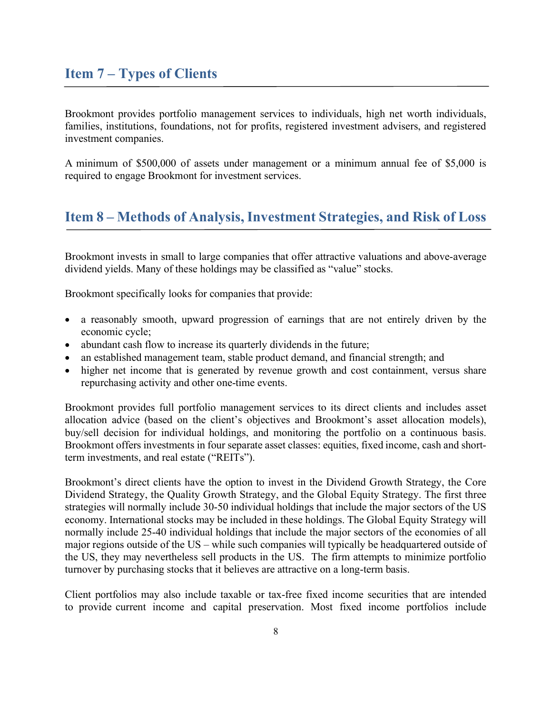# Item 7 – Types of Clients

Brookmont provides portfolio management services to individuals, high net worth individuals, families, institutions, foundations, not for profits, registered investment advisers, and registered investment companies.

A minimum of \$500,000 of assets under management or a minimum annual fee of \$5,000 is required to engage Brookmont for investment services.

### Item 8 – Methods of Analysis, Investment Strategies, and Risk of Loss

Brookmont invests in small to large companies that offer attractive valuations and above-average dividend yields. Many of these holdings may be classified as "value" stocks.

Brookmont specifically looks for companies that provide:

- a reasonably smooth, upward progression of earnings that are not entirely driven by the economic cycle;
- abundant cash flow to increase its quarterly dividends in the future;
- an established management team, stable product demand, and financial strength; and
- higher net income that is generated by revenue growth and cost containment, versus share repurchasing activity and other one-time events.

Brookmont provides full portfolio management services to its direct clients and includes asset allocation advice (based on the client's objectives and Brookmont's asset allocation models), buy/sell decision for individual holdings, and monitoring the portfolio on a continuous basis. Brookmont offers investments in four separate asset classes: equities, fixed income, cash and shortterm investments, and real estate ("REITs").

Brookmont's direct clients have the option to invest in the Dividend Growth Strategy, the Core Dividend Strategy, the Quality Growth Strategy, and the Global Equity Strategy. The first three strategies will normally include 30-50 individual holdings that include the major sectors of the US economy. International stocks may be included in these holdings. The Global Equity Strategy will normally include 25-40 individual holdings that include the major sectors of the economies of all major regions outside of the US – while such companies will typically be headquartered outside of the US, they may nevertheless sell products in the US. The firm attempts to minimize portfolio turnover by purchasing stocks that it believes are attractive on a long-term basis.

Client portfolios may also include taxable or tax-free fixed income securities that are intended to provide current income and capital preservation. Most fixed income portfolios include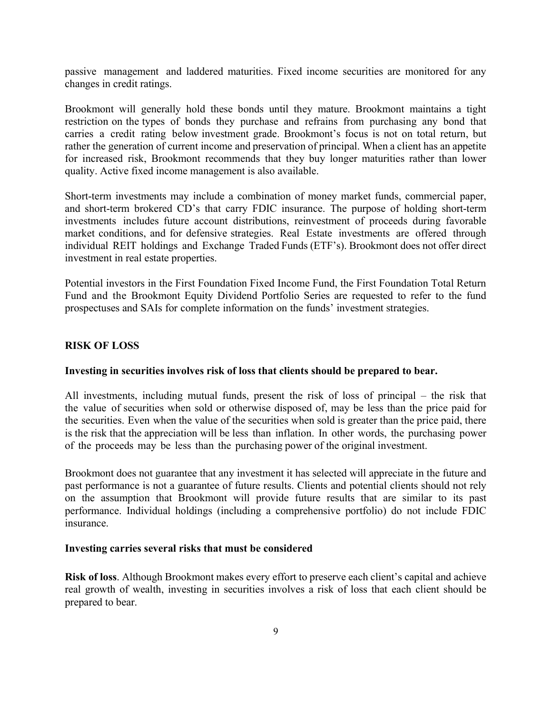passive management and laddered maturities. Fixed income securities are monitored for any changes in credit ratings.

Brookmont will generally hold these bonds until they mature. Brookmont maintains a tight restriction on the types of bonds they purchase and refrains from purchasing any bond that carries a credit rating below investment grade. Brookmont's focus is not on total return, but rather the generation of current income and preservation of principal. When a client has an appetite for increased risk, Brookmont recommends that they buy longer maturities rather than lower quality. Active fixed income management is also available.

Short-term investments may include a combination of money market funds, commercial paper, and short-term brokered CD's that carry FDIC insurance. The purpose of holding short-term investments includes future account distributions, reinvestment of proceeds during favorable market conditions, and for defensive strategies. Real Estate investments are offered through individual REIT holdings and Exchange Traded Funds (ETF's). Brookmont does not offer direct investment in real estate properties.

Potential investors in the First Foundation Fixed Income Fund, the First Foundation Total Return Fund and the Brookmont Equity Dividend Portfolio Series are requested to refer to the fund prospectuses and SAIs for complete information on the funds' investment strategies.

#### RISK OF LOSS

#### Investing in securities involves risk of loss that clients should be prepared to bear.

All investments, including mutual funds, present the risk of loss of principal – the risk that the value of securities when sold or otherwise disposed of, may be less than the price paid for the securities. Even when the value of the securities when sold is greater than the price paid, there is the risk that the appreciation will be less than inflation. In other words, the purchasing power of the proceeds may be less than the purchasing power of the original investment.

Brookmont does not guarantee that any investment it has selected will appreciate in the future and past performance is not a guarantee of future results. Clients and potential clients should not rely on the assumption that Brookmont will provide future results that are similar to its past performance. Individual holdings (including a comprehensive portfolio) do not include FDIC insurance.

#### Investing carries several risks that must be considered

Risk of loss. Although Brookmont makes every effort to preserve each client's capital and achieve real growth of wealth, investing in securities involves a risk of loss that each client should be prepared to bear.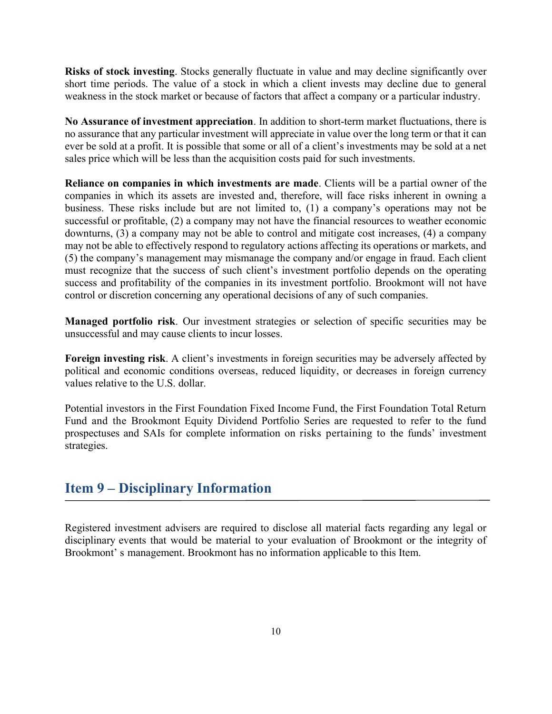Risks of stock investing. Stocks generally fluctuate in value and may decline significantly over short time periods. The value of a stock in which a client invests may decline due to general weakness in the stock market or because of factors that affect a company or a particular industry.

No Assurance of investment appreciation. In addition to short-term market fluctuations, there is no assurance that any particular investment will appreciate in value over the long term or that it can ever be sold at a profit. It is possible that some or all of a client's investments may be sold at a net sales price which will be less than the acquisition costs paid for such investments.

Reliance on companies in which investments are made. Clients will be a partial owner of the companies in which its assets are invested and, therefore, will face risks inherent in owning a business. These risks include but are not limited to, (1) a company's operations may not be successful or profitable, (2) a company may not have the financial resources to weather economic downturns, (3) a company may not be able to control and mitigate cost increases, (4) a company may not be able to effectively respond to regulatory actions affecting its operations or markets, and (5) the company's management may mismanage the company and/or engage in fraud. Each client must recognize that the success of such client's investment portfolio depends on the operating success and profitability of the companies in its investment portfolio. Brookmont will not have control or discretion concerning any operational decisions of any of such companies.

Managed portfolio risk. Our investment strategies or selection of specific securities may be unsuccessful and may cause clients to incur losses.

Foreign investing risk. A client's investments in foreign securities may be adversely affected by political and economic conditions overseas, reduced liquidity, or decreases in foreign currency values relative to the U.S. dollar.

Potential investors in the First Foundation Fixed Income Fund, the First Foundation Total Return Fund and the Brookmont Equity Dividend Portfolio Series are requested to refer to the fund prospectuses and SAIs for complete information on risks pertaining to the funds' investment strategies.

# Item 9 – Disciplinary Information

Registered investment advisers are required to disclose all material facts regarding any legal or disciplinary events that would be material to your evaluation of Brookmont or the integrity of Brookmont' s management. Brookmont has no information applicable to this Item.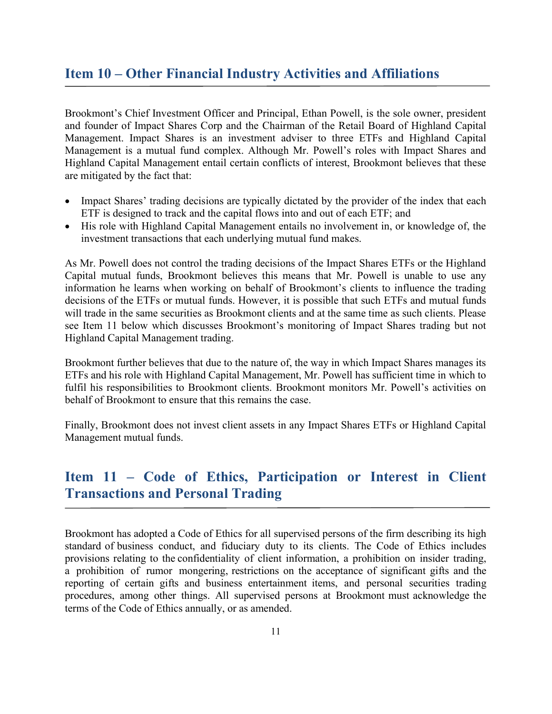# Item 10 – Other Financial Industry Activities and Affiliations

Brookmont's Chief Investment Officer and Principal, Ethan Powell, is the sole owner, president and founder of Impact Shares Corp and the Chairman of the Retail Board of Highland Capital Management. Impact Shares is an investment adviser to three ETFs and Highland Capital Management is a mutual fund complex. Although Mr. Powell's roles with Impact Shares and Highland Capital Management entail certain conflicts of interest, Brookmont believes that these are mitigated by the fact that:

- Impact Shares' trading decisions are typically dictated by the provider of the index that each ETF is designed to track and the capital flows into and out of each ETF; and
- His role with Highland Capital Management entails no involvement in, or knowledge of, the investment transactions that each underlying mutual fund makes.

As Mr. Powell does not control the trading decisions of the Impact Shares ETFs or the Highland Capital mutual funds, Brookmont believes this means that Mr. Powell is unable to use any information he learns when working on behalf of Brookmont's clients to influence the trading decisions of the ETFs or mutual funds. However, it is possible that such ETFs and mutual funds will trade in the same securities as Brookmont clients and at the same time as such clients. Please see Item 11 below which discusses Brookmont's monitoring of Impact Shares trading but not Highland Capital Management trading.

Brookmont further believes that due to the nature of, the way in which Impact Shares manages its ETFs and his role with Highland Capital Management, Mr. Powell has sufficient time in which to fulfil his responsibilities to Brookmont clients. Brookmont monitors Mr. Powell's activities on behalf of Brookmont to ensure that this remains the case.

Finally, Brookmont does not invest client assets in any Impact Shares ETFs or Highland Capital Management mutual funds.

# Item 11 – Code of Ethics, Participation or Interest in Client Transactions and Personal Trading

Brookmont has adopted a Code of Ethics for all supervised persons of the firm describing its high standard of business conduct, and fiduciary duty to its clients. The Code of Ethics includes provisions relating to the confidentiality of client information, a prohibition on insider trading, a prohibition of rumor mongering, restrictions on the acceptance of significant gifts and the reporting of certain gifts and business entertainment items, and personal securities trading procedures, among other things. All supervised persons at Brookmont must acknowledge the terms of the Code of Ethics annually, or as amended.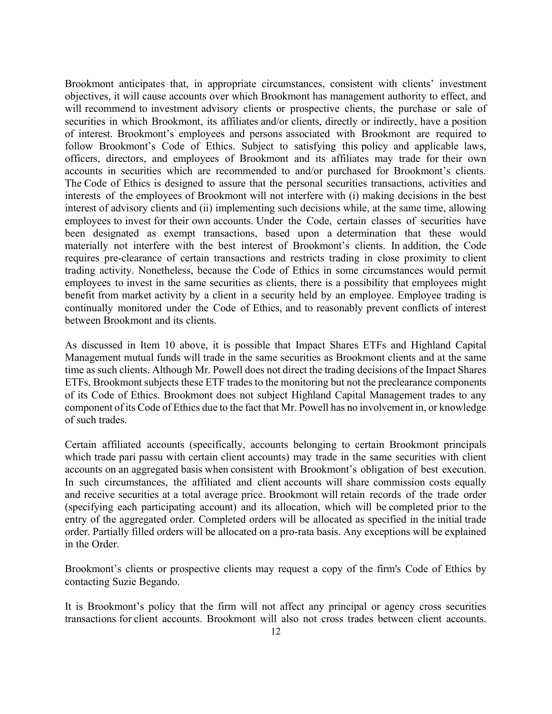Brookmont anticipates that, in appropriate circumstances, consistent with clients' investment objectives, it will cause accounts over which Brookmont has management authority to effect, and will recommend to investment advisory clients or prospective clients, the purchase or sale of securities in which Brookmont, its affiliates and/or clients, directly or indirectly, have a position of interest. Brookmont's employees and persons associated with Brookmont are required to follow Brookmont's Code of Ethics. Subject to satisfying this policy and applicable laws, officers, directors, and employees of Brookmont and its affiliates may trade for their own accounts in securities which are recommended to and/or purchased for Brookmont's clients. The Code of Ethics is designed to assure that the personal securities transactions, activities and interests of the employees of Brookmont will not interfere with (i) making decisions in the best interest of advisory clients and (ii) implementing such decisions while, at the same time, allowing employees to invest for their own accounts. Under the Code, certain classes of securities have been designated as exempt transactions, based upon a determination that these would materially not interfere with the best interest of Brookmont's clients. In addition, the Code requires pre-clearance of certain transactions and restricts trading in close proximity to client trading activity. Nonetheless, because the Code of Ethics in some circumstances would permit employees to invest in the same securities as clients, there is a possibility that employees might benefit from market activity by a client in a security held by an employee. Employee trading is continually monitored under the Code of Ethics, and to reasonably prevent conflicts of interest between Brookmont and its clients.

As discussed in Item 10 above, it is possible that Impact Shares ETFs and Highland Capital Management mutual funds will trade in the same securities as Brookmont clients and at the same time as such clients. Although Mr. Powell does not direct the trading decisions of the Impact Shares ETFs, Brookmont subjects these ETF trades to the monitoring but not the preclearance components of its Code of Ethics. Brookmont does not subject Highland Capital Management trades to any component of its Code of Ethics due to the fact that Mr. Powell has no involvement in, or knowledge of such trades.

Certain affiliated accounts (specifically, accounts belonging to certain Brookmont principals which trade pari passu with certain client accounts) may trade in the same securities with client accounts on an aggregated basis when consistent with Brookmont's obligation of best execution. In such circumstances, the affiliated and client accounts will share commission costs equally and receive securities at a total average price. Brookmont will retain records of the trade order (specifying each participating account) and its allocation, which will be completed prior to the entry of the aggregated order. Completed orders will be allocated as specified in the initial trade order. Partially filled orders will be allocated on a pro-rata basis. Any exceptions will be explained in the Order.

Brookmont's clients or prospective clients may request a copy of the firm's Code of Ethics by contacting Suzie Begando.

It is Brookmont's policy that the firm will not affect any principal or agency cross securities transactions for client accounts. Brookmont will also not cross trades between client accounts.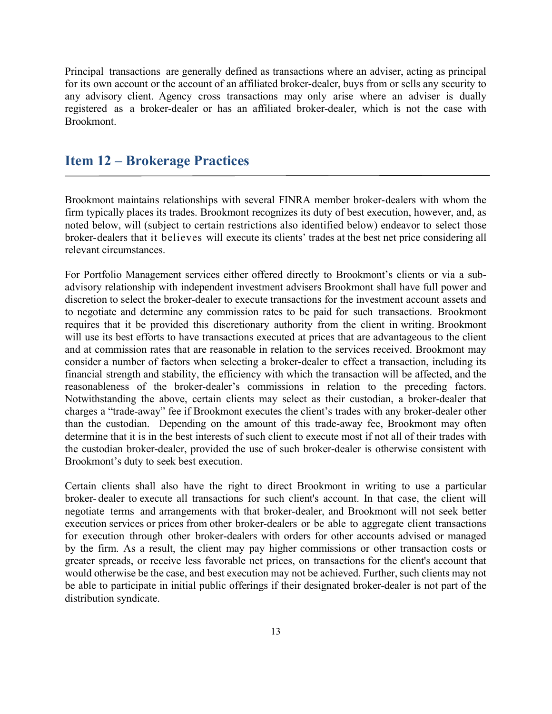Principal transactions are generally defined as transactions where an adviser, acting as principal for its own account or the account of an affiliated broker-dealer, buys from or sells any security to any advisory client. Agency cross transactions may only arise where an adviser is dually registered as a broker-dealer or has an affiliated broker-dealer, which is not the case with Brookmont.

## Item 12 – Brokerage Practices

Brookmont maintains relationships with several FINRA member broker-dealers with whom the firm typically places its trades. Brookmont recognizes its duty of best execution, however, and, as noted below, will (subject to certain restrictions also identified below) endeavor to select those broker-dealers that it believes will execute its clients' trades at the best net price considering all relevant circumstances.

For Portfolio Management services either offered directly to Brookmont's clients or via a subadvisory relationship with independent investment advisers Brookmont shall have full power and discretion to select the broker-dealer to execute transactions for the investment account assets and to negotiate and determine any commission rates to be paid for such transactions. Brookmont requires that it be provided this discretionary authority from the client in writing. Brookmont will use its best efforts to have transactions executed at prices that are advantageous to the client and at commission rates that are reasonable in relation to the services received. Brookmont may consider a number of factors when selecting a broker-dealer to effect a transaction, including its financial strength and stability, the efficiency with which the transaction will be affected, and the reasonableness of the broker-dealer's commissions in relation to the preceding factors. Notwithstanding the above, certain clients may select as their custodian, a broker-dealer that charges a "trade-away" fee if Brookmont executes the client's trades with any broker-dealer other than the custodian. Depending on the amount of this trade-away fee, Brookmont may often determine that it is in the best interests of such client to execute most if not all of their trades with the custodian broker-dealer, provided the use of such broker-dealer is otherwise consistent with Brookmont's duty to seek best execution.

Certain clients shall also have the right to direct Brookmont in writing to use a particular broker- dealer to execute all transactions for such client's account. In that case, the client will negotiate terms and arrangements with that broker-dealer, and Brookmont will not seek better execution services or prices from other broker-dealers or be able to aggregate client transactions for execution through other broker-dealers with orders for other accounts advised or managed by the firm. As a result, the client may pay higher commissions or other transaction costs or greater spreads, or receive less favorable net prices, on transactions for the client's account that would otherwise be the case, and best execution may not be achieved. Further, such clients may not be able to participate in initial public offerings if their designated broker-dealer is not part of the distribution syndicate.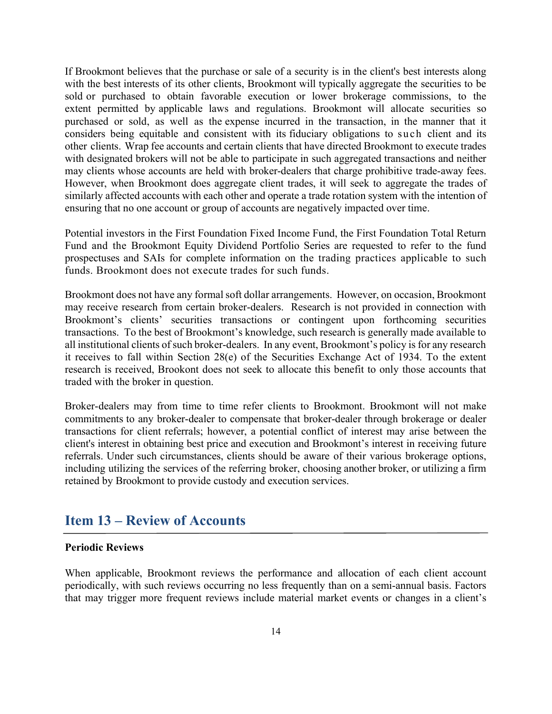If Brookmont believes that the purchase or sale of a security is in the client's best interests along with the best interests of its other clients, Brookmont will typically aggregate the securities to be sold or purchased to obtain favorable execution or lower brokerage commissions, to the extent permitted by applicable laws and regulations. Brookmont will allocate securities so purchased or sold, as well as the expense incurred in the transaction, in the manner that it considers being equitable and consistent with its fiduciary obligations to such client and its other clients. Wrap fee accounts and certain clients that have directed Brookmont to execute trades with designated brokers will not be able to participate in such aggregated transactions and neither may clients whose accounts are held with broker-dealers that charge prohibitive trade-away fees. However, when Brookmont does aggregate client trades, it will seek to aggregate the trades of similarly affected accounts with each other and operate a trade rotation system with the intention of ensuring that no one account or group of accounts are negatively impacted over time.

Potential investors in the First Foundation Fixed Income Fund, the First Foundation Total Return Fund and the Brookmont Equity Dividend Portfolio Series are requested to refer to the fund prospectuses and SAIs for complete information on the trading practices applicable to such funds. Brookmont does not execute trades for such funds.

Brookmont does not have any formal soft dollar arrangements. However, on occasion, Brookmont may receive research from certain broker-dealers. Research is not provided in connection with Brookmont's clients' securities transactions or contingent upon forthcoming securities transactions. To the best of Brookmont's knowledge, such research is generally made available to all institutional clients of such broker-dealers. In any event, Brookmont's policy is for any research it receives to fall within Section 28(e) of the Securities Exchange Act of 1934. To the extent research is received, Brookont does not seek to allocate this benefit to only those accounts that traded with the broker in question.

Broker-dealers may from time to time refer clients to Brookmont. Brookmont will not make commitments to any broker-dealer to compensate that broker-dealer through brokerage or dealer transactions for client referrals; however, a potential conflict of interest may arise between the client's interest in obtaining best price and execution and Brookmont's interest in receiving future referrals. Under such circumstances, clients should be aware of their various brokerage options, including utilizing the services of the referring broker, choosing another broker, or utilizing a firm retained by Brookmont to provide custody and execution services.

# Item 13 – Review of Accounts

#### Periodic Reviews

When applicable, Brookmont reviews the performance and allocation of each client account periodically, with such reviews occurring no less frequently than on a semi-annual basis. Factors that may trigger more frequent reviews include material market events or changes in a client's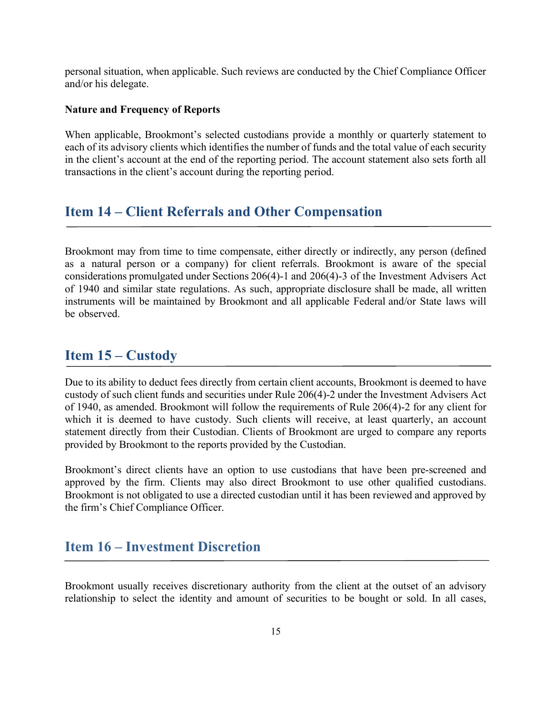personal situation, when applicable. Such reviews are conducted by the Chief Compliance Officer and/or his delegate.

#### Nature and Frequency of Reports

When applicable, Brookmont's selected custodians provide a monthly or quarterly statement to each of its advisory clients which identifies the number of funds and the total value of each security in the client's account at the end of the reporting period. The account statement also sets forth all transactions in the client's account during the reporting period.

## Item 14 – Client Referrals and Other Compensation

Brookmont may from time to time compensate, either directly or indirectly, any person (defined as a natural person or a company) for client referrals. Brookmont is aware of the special considerations promulgated under Sections 206(4)-1 and 206(4)-3 of the Investment Advisers Act of 1940 and similar state regulations. As such, appropriate disclosure shall be made, all written instruments will be maintained by Brookmont and all applicable Federal and/or State laws will be observed.

# Item 15 – Custody

Due to its ability to deduct fees directly from certain client accounts, Brookmont is deemed to have custody of such client funds and securities under Rule 206(4)-2 under the Investment Advisers Act of 1940, as amended. Brookmont will follow the requirements of Rule 206(4)-2 for any client for which it is deemed to have custody. Such clients will receive, at least quarterly, an account statement directly from their Custodian. Clients of Brookmont are urged to compare any reports provided by Brookmont to the reports provided by the Custodian.

Brookmont's direct clients have an option to use custodians that have been pre-screened and approved by the firm. Clients may also direct Brookmont to use other qualified custodians. Brookmont is not obligated to use a directed custodian until it has been reviewed and approved by the firm's Chief Compliance Officer.

## Item 16 – Investment Discretion

Brookmont usually receives discretionary authority from the client at the outset of an advisory relationship to select the identity and amount of securities to be bought or sold. In all cases,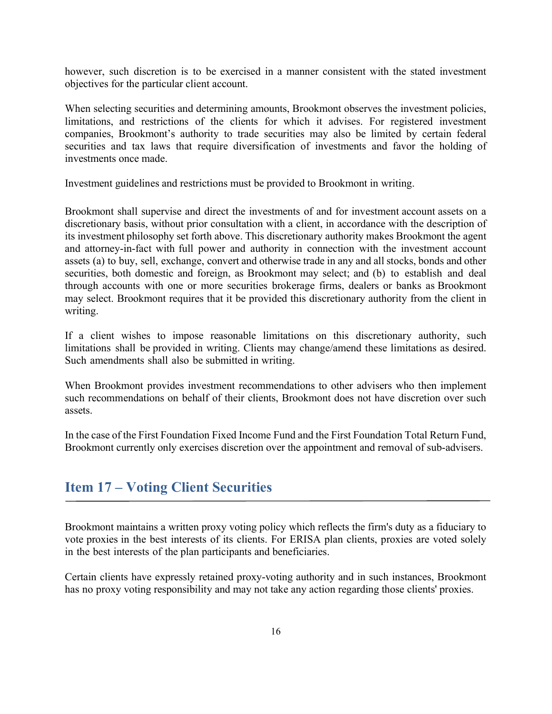however, such discretion is to be exercised in a manner consistent with the stated investment objectives for the particular client account.

When selecting securities and determining amounts, Brookmont observes the investment policies, limitations, and restrictions of the clients for which it advises. For registered investment companies, Brookmont's authority to trade securities may also be limited by certain federal securities and tax laws that require diversification of investments and favor the holding of investments once made.

Investment guidelines and restrictions must be provided to Brookmont in writing.

Brookmont shall supervise and direct the investments of and for investment account assets on a discretionary basis, without prior consultation with a client, in accordance with the description of its investment philosophy set forth above. This discretionary authority makes Brookmont the agent and attorney-in-fact with full power and authority in connection with the investment account assets (a) to buy, sell, exchange, convert and otherwise trade in any and all stocks, bonds and other securities, both domestic and foreign, as Brookmont may select; and (b) to establish and deal through accounts with one or more securities brokerage firms, dealers or banks as Brookmont may select. Brookmont requires that it be provided this discretionary authority from the client in writing.

If a client wishes to impose reasonable limitations on this discretionary authority, such limitations shall be provided in writing. Clients may change/amend these limitations as desired. Such amendments shall also be submitted in writing.

When Brookmont provides investment recommendations to other advisers who then implement such recommendations on behalf of their clients, Brookmont does not have discretion over such assets.

In the case of the First Foundation Fixed Income Fund and the First Foundation Total Return Fund, Brookmont currently only exercises discretion over the appointment and removal of sub-advisers.

# Item 17 – Voting Client Securities

Brookmont maintains a written proxy voting policy which reflects the firm's duty as a fiduciary to vote proxies in the best interests of its clients. For ERISA plan clients, proxies are voted solely in the best interests of the plan participants and beneficiaries.

Certain clients have expressly retained proxy-voting authority and in such instances, Brookmont has no proxy voting responsibility and may not take any action regarding those clients' proxies.